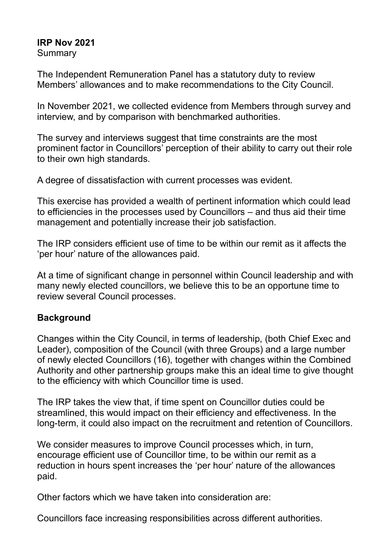## **IRP Nov 2021**

**Summary** 

The Independent Remuneration Panel has a statutory duty to review Members' allowances and to make recommendations to the City Council.

In November 2021, we collected evidence from Members through survey and interview, and by comparison with benchmarked authorities.

The survey and interviews suggest that time constraints are the most prominent factor in Councillors' perception of their ability to carry out their role to their own high standards.

A degree of dissatisfaction with current processes was evident.

This exercise has provided a wealth of pertinent information which could lead to efficiencies in the processes used by Councillors – and thus aid their time management and potentially increase their job satisfaction.

The IRP considers efficient use of time to be within our remit as it affects the 'per hour' nature of the allowances paid.

At a time of significant change in personnel within Council leadership and with many newly elected councillors, we believe this to be an opportune time to review several Council processes.

# **Background**

Changes within the City Council, in terms of leadership, (both Chief Exec and Leader), composition of the Council (with three Groups) and a large number of newly elected Councillors (16), together with changes within the Combined Authority and other partnership groups make this an ideal time to give thought to the efficiency with which Councillor time is used.

The IRP takes the view that, if time spent on Councillor duties could be streamlined, this would impact on their efficiency and effectiveness. In the long-term, it could also impact on the recruitment and retention of Councillors.

We consider measures to improve Council processes which, in turn, encourage efficient use of Councillor time, to be within our remit as a reduction in hours spent increases the 'per hour' nature of the allowances paid.

Other factors which we have taken into consideration are:

Councillors face increasing responsibilities across different authorities.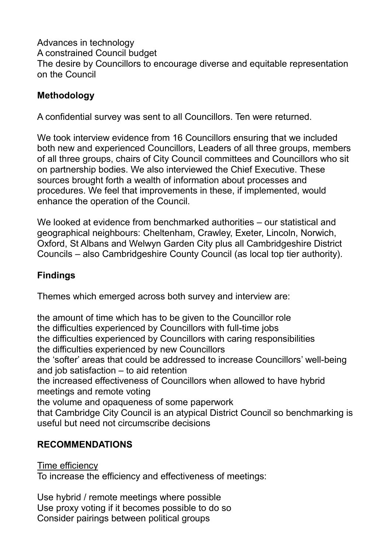Advances in technology A constrained Council budget The desire by Councillors to encourage diverse and equitable representation on the Council

# **Methodology**

A confidential survey was sent to all Councillors. Ten were returned.

We took interview evidence from 16 Councillors ensuring that we included both new and experienced Councillors, Leaders of all three groups, members of all three groups, chairs of City Council committees and Councillors who sit on partnership bodies. We also interviewed the Chief Executive. These sources brought forth a wealth of information about processes and procedures. We feel that improvements in these, if implemented, would enhance the operation of the Council.

We looked at evidence from benchmarked authorities – our statistical and geographical neighbours: Cheltenham, Crawley, Exeter, Lincoln, Norwich, Oxford, St Albans and Welwyn Garden City plus all Cambridgeshire District Councils – also Cambridgeshire County Council (as local top tier authority).

# **Findings**

Themes which emerged across both survey and interview are:

the amount of time which has to be given to the Councillor role the difficulties experienced by Councillors with full-time jobs the difficulties experienced by Councillors with caring responsibilities the difficulties experienced by new Councillors the 'softer' areas that could be addressed to increase Councillors' well-being and job satisfaction – to aid retention the increased effectiveness of Councillors when allowed to have hybrid meetings and remote voting the volume and opaqueness of some paperwork that Cambridge City Council is an atypical District Council so benchmarking is useful but need not circumscribe decisions

# **RECOMMENDATIONS**

Time efficiency

To increase the efficiency and effectiveness of meetings:

Use hybrid / remote meetings where possible Use proxy voting if it becomes possible to do so Consider pairings between political groups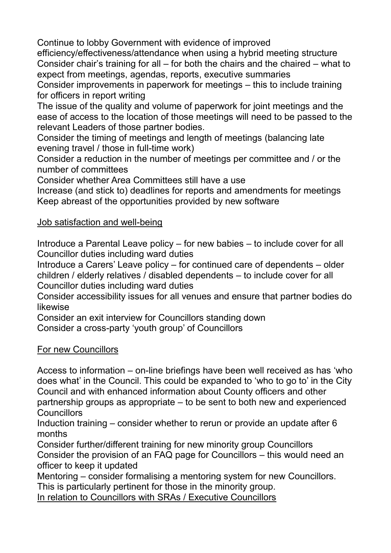Continue to lobby Government with evidence of improved efficiency/effectiveness/attendance when using a hybrid meeting structure Consider chair's training for all – for both the chairs and the chaired – what to expect from meetings, agendas, reports, executive summaries

Consider improvements in paperwork for meetings – this to include training for officers in report writing

The issue of the quality and volume of paperwork for joint meetings and the ease of access to the location of those meetings will need to be passed to the relevant Leaders of those partner bodies.

Consider the timing of meetings and length of meetings (balancing late evening travel / those in full-time work)

Consider a reduction in the number of meetings per committee and / or the number of committees

Consider whether Area Committees still have a use

Increase (and stick to) deadlines for reports and amendments for meetings Keep abreast of the opportunities provided by new software

## Job satisfaction and well-being

Introduce a Parental Leave policy – for new babies – to include cover for all Councillor duties including ward duties

Introduce a Carers' Leave policy – for continued care of dependents – older children / elderly relatives / disabled dependents – to include cover for all Councillor duties including ward duties

Consider accessibility issues for all venues and ensure that partner bodies do likewise

Consider an exit interview for Councillors standing down

Consider a cross-party 'youth group' of Councillors

## For new Councillors

Access to information – on-line briefings have been well received as has 'who does what' in the Council. This could be expanded to 'who to go to' in the City Council and with enhanced information about County officers and other partnership groups as appropriate – to be sent to both new and experienced **Councillors** 

Induction training – consider whether to rerun or provide an update after 6 months

Consider further/different training for new minority group Councillors Consider the provision of an FAQ page for Councillors – this would need an officer to keep it updated

Mentoring – consider formalising a mentoring system for new Councillors. This is particularly pertinent for those in the minority group.

In relation to Councillors with SRAs / Executive Councillors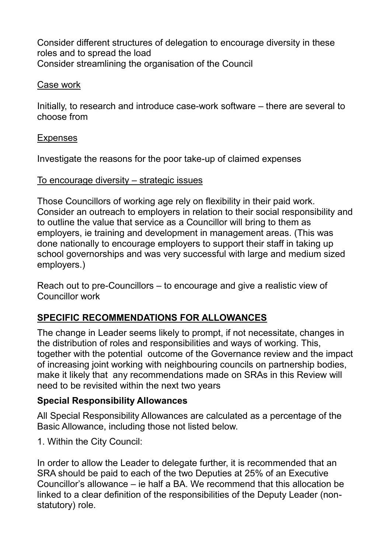Consider different structures of delegation to encourage diversity in these roles and to spread the load Consider streamlining the organisation of the Council

### Case work

Initially, to research and introduce case-work software – there are several to choose from

## Expenses

Investigate the reasons for the poor take-up of claimed expenses

## To encourage diversity – strategic issues

Those Councillors of working age rely on flexibility in their paid work. Consider an outreach to employers in relation to their social responsibility and to outline the value that service as a Councillor will bring to them as employers, ie training and development in management areas. (This was done nationally to encourage employers to support their staff in taking up school governorships and was very successful with large and medium sized employers.)

Reach out to pre-Councillors – to encourage and give a realistic view of Councillor work

# **SPECIFIC RECOMMENDATIONS FOR ALLOWANCES**

The change in Leader seems likely to prompt, if not necessitate, changes in the distribution of roles and responsibilities and ways of working. This, together with the potential outcome of the Governance review and the impact of increasing joint working with neighbouring councils on partnership bodies, make it likely that any recommendations made on SRAs in this Review will need to be revisited within the next two years

# **Special Responsibility Allowances**

All Special Responsibility Allowances are calculated as a percentage of the Basic Allowance, including those not listed below.

1. Within the City Council:

In order to allow the Leader to delegate further, it is recommended that an SRA should be paid to each of the two Deputies at 25% of an Executive Councillor's allowance – ie half a BA. We recommend that this allocation be linked to a clear definition of the responsibilities of the Deputy Leader (nonstatutory) role.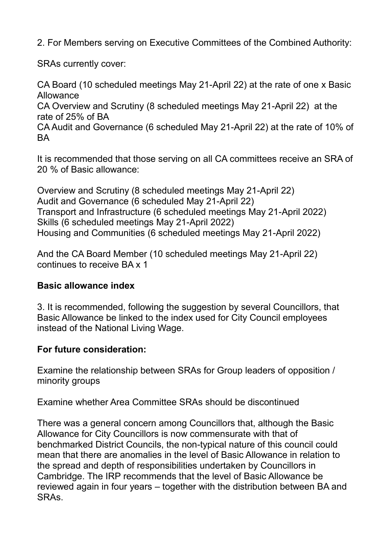2. For Members serving on Executive Committees of the Combined Authority:

SRAs currently cover:

CA Board (10 scheduled meetings May 21-April 22) at the rate of one x Basic Allowance

CA Overview and Scrutiny (8 scheduled meetings May 21-April 22) at the rate of 25% of BA

CA Audit and Governance (6 scheduled May 21-April 22) at the rate of 10% of BA

It is recommended that those serving on all CA committees receive an SRA of 20 % of Basic allowance:

Overview and Scrutiny (8 scheduled meetings May 21-April 22) Audit and Governance (6 scheduled May 21-April 22) Transport and Infrastructure (6 scheduled meetings May 21-April 2022) Skills (6 scheduled meetings May 21-April 2022) Housing and Communities (6 scheduled meetings May 21-April 2022)

And the CA Board Member (10 scheduled meetings May 21-April 22) continues to receive BA x 1

## **Basic allowance index**

3. It is recommended, following the suggestion by several Councillors, that Basic Allowance be linked to the index used for City Council employees instead of the National Living Wage.

# **For future consideration:**

Examine the relationship between SRAs for Group leaders of opposition / minority groups

Examine whether Area Committee SRAs should be discontinued

There was a general concern among Councillors that, although the Basic Allowance for City Councillors is now commensurate with that of benchmarked District Councils, the non-typical nature of this council could mean that there are anomalies in the level of Basic Allowance in relation to the spread and depth of responsibilities undertaken by Councillors in Cambridge. The IRP recommends that the level of Basic Allowance be reviewed again in four years – together with the distribution between BA and SRAs.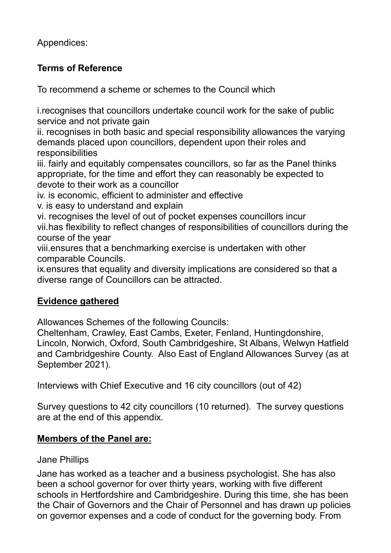Appendices:

# **Terms of Reference**

To recommend a scheme or schemes to the Council which

i.recognises that councillors undertake council work for the sake of public service and not private gain

ii. recognises in both basic and special responsibility allowances the varying demands placed upon councillors, dependent upon their roles and responsibilities

iii. fairly and equitably compensates councillors, so far as the Panel thinks appropriate, for the time and effort they can reasonably be expected to devote to their work as a councillor

- iv. is economic, efficient to administer and effective
- v. is easy to understand and explain

vi. recognises the level of out of pocket expenses councillors incur vii.has flexibility to reflect changes of responsibilities of councillors during the course of the year

viii.ensures that a benchmarking exercise is undertaken with other comparable Councils.

ix.ensures that equality and diversity implications are considered so that a diverse range of Councillors can be attracted.

# **Evidence gathered**

Allowances Schemes of the following Councils:

Cheltenham, Crawley, East Cambs, Exeter, Fenland, Huntingdonshire, Lincoln, Norwich, Oxford, South Cambridgeshire, St Albans, Welwyn Hatfield and Cambridgeshire County. Also East of England Allowances Survey (as at September 2021).

Interviews with Chief Executive and 16 city councillors (out of 42)

Survey questions to 42 city councillors (10 returned). The survey questions are at the end of this appendix.

# **Members of the Panel are:**

# Jane Phillips

Jane has worked as a teacher and a business psychologist. She has also been a school governor for over thirty years, working with five different schools in Hertfordshire and Cambridgeshire. During this time, she has been the Chair of Governors and the Chair of Personnel and has drawn up policies on governor expenses and a code of conduct for the governing body. From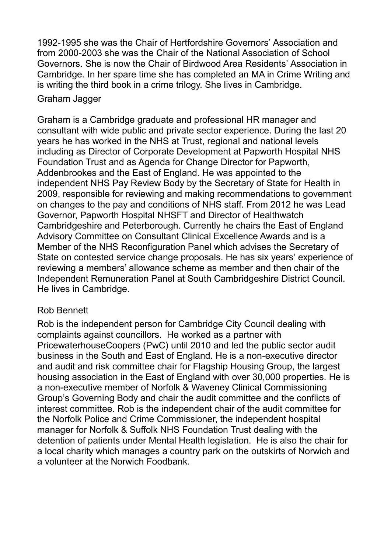1992-1995 she was the Chair of Hertfordshire Governors' Association and from 2000-2003 she was the Chair of the National Association of School Governors. She is now the Chair of Birdwood Area Residents' Association in Cambridge. In her spare time she has completed an MA in Crime Writing and is writing the third book in a crime trilogy. She lives in Cambridge.

## Graham Jagger

Graham is a Cambridge graduate and professional HR manager and consultant with wide public and private sector experience. During the last 20 years he has worked in the NHS at Trust, regional and national levels including as Director of Corporate Development at Papworth Hospital NHS Foundation Trust and as Agenda for Change Director for Papworth, Addenbrookes and the East of England. He was appointed to the independent NHS Pay Review Body by the Secretary of State for Health in 2009, responsible for reviewing and making recommendations to government on changes to the pay and conditions of NHS staff. From 2012 he was Lead Governor, Papworth Hospital NHSFT and Director of Healthwatch Cambridgeshire and Peterborough. Currently he chairs the East of England Advisory Committee on Consultant Clinical Excellence Awards and is a Member of the NHS Reconfiguration Panel which advises the Secretary of State on contested service change proposals. He has six years' experience of reviewing a members' allowance scheme as member and then chair of the Independent Remuneration Panel at South Cambridgeshire District Council. He lives in Cambridge.

## Rob Bennett

Rob is the independent person for Cambridge City Council dealing with complaints against councillors. He worked as a partner with PricewaterhouseCoopers (PwC) until 2010 and led the public sector audit business in the South and East of England. He is a non-executive director and audit and risk committee chair for Flagship Housing Group, the largest housing association in the East of England with over 30,000 properties. He is a non-executive member of Norfolk & Waveney Clinical Commissioning Group's Governing Body and chair the audit committee and the conflicts of interest committee. Rob is the independent chair of the audit committee for the Norfolk Police and Crime Commissioner, the independent hospital manager for Norfolk & Suffolk NHS Foundation Trust dealing with the detention of patients under Mental Health legislation. He is also the chair for a local charity which manages a country park on the outskirts of Norwich and a volunteer at the Norwich Foodbank.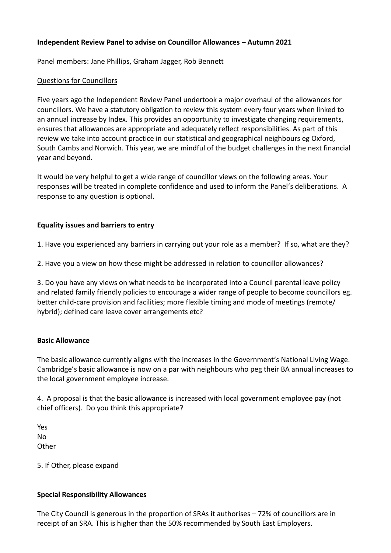### **Independent Review Panel to advise on Councillor Allowances – Autumn 2021**

Panel members: Jane Phillips, Graham Jagger, Rob Bennett

#### Questions for Councillors

Five years ago the Independent Review Panel undertook a major overhaul of the allowances for councillors. We have a statutory obligation to review this system every four years when linked to an annual increase by Index. This provides an opportunity to investigate changing requirements, ensures that allowances are appropriate and adequately reflect responsibilities. As part of this review we take into account practice in our statistical and geographical neighbours eg Oxford, South Cambs and Norwich. This year, we are mindful of the budget challenges in the next financial year and beyond.

It would be very helpful to get a wide range of councillor views on the following areas. Your responses will be treated in complete confidence and used to inform the Panel's deliberations. A response to any question is optional.

### **Equality issues and barriers to entry**

1. Have you experienced any barriers in carrying out your role as a member? If so, what are they?

2. Have you a view on how these might be addressed in relation to councillor allowances?

3. Do you have any views on what needs to be incorporated into a Council parental leave policy and related family friendly policies to encourage a wider range of people to become councillors eg. better child-care provision and facilities; more flexible timing and mode of meetings (remote/ hybrid); defined care leave cover arrangements etc?

#### **Basic Allowance**

The basic allowance currently aligns with the increases in the Government's National Living Wage. Cambridge's basic allowance is now on a par with neighbours who peg their BA annual increases to the local government employee increase.

4. A proposal is that the basic allowance is increased with local government employee pay (not chief officers). Do you think this appropriate?

Yes No **Other** 

5. If Other, please expand

#### **Special Responsibility Allowances**

The City Council is generous in the proportion of SRAs it authorises – 72% of councillors are in receipt of an SRA. This is higher than the 50% recommended by South East Employers.